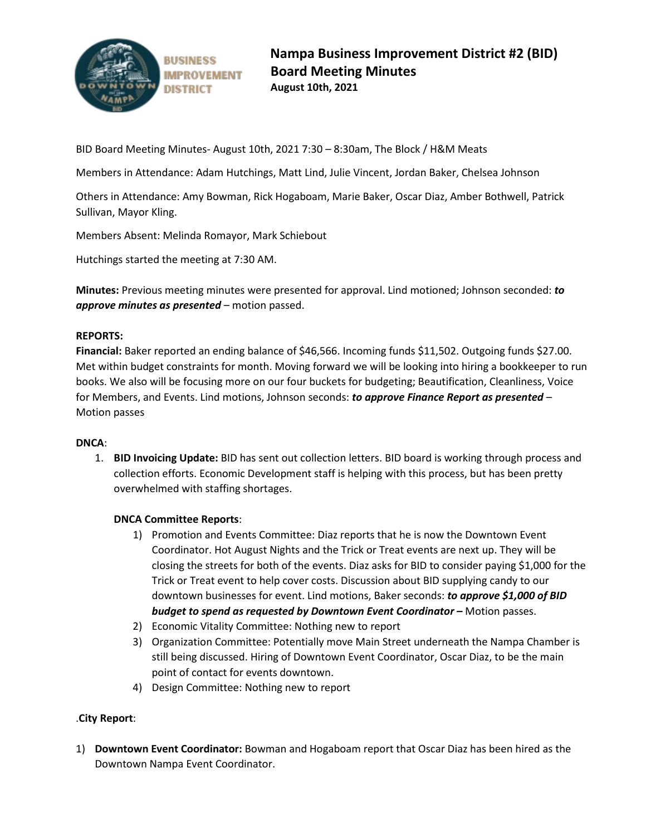

BID Board Meeting Minutes- August 10th, 2021 7:30 – 8:30am, The Block / H&M Meats

Members in Attendance: Adam Hutchings, Matt Lind, Julie Vincent, Jordan Baker, Chelsea Johnson

Others in Attendance: Amy Bowman, Rick Hogaboam, Marie Baker, Oscar Diaz, Amber Bothwell, Patrick Sullivan, Mayor Kling.

Members Absent: Melinda Romayor, Mark Schiebout

Hutchings started the meeting at 7:30 AM.

**Minutes:** Previous meeting minutes were presented for approval. Lind motioned; Johnson seconded: *to approve minutes as presented* – motion passed.

## **REPORTS:**

**Financial:** Baker reported an ending balance of \$46,566. Incoming funds \$11,502. Outgoing funds \$27.00. Met within budget constraints for month. Moving forward we will be looking into hiring a bookkeeper to run books. We also will be focusing more on our four buckets for budgeting; Beautification, Cleanliness, Voice for Members, and Events. Lind motions, Johnson seconds: *to approve Finance Report as presented* – Motion passes

## **DNCA**:

1. **BID Invoicing Update:** BID has sent out collection letters. BID board is working through process and collection efforts. Economic Development staff is helping with this process, but has been pretty overwhelmed with staffing shortages.

## **DNCA Committee Reports**:

- 1) Promotion and Events Committee: Diaz reports that he is now the Downtown Event Coordinator. Hot August Nights and the Trick or Treat events are next up. They will be closing the streets for both of the events. Diaz asks for BID to consider paying \$1,000 for the Trick or Treat event to help cover costs. Discussion about BID supplying candy to our downtown businesses for event. Lind motions, Baker seconds: *to approve \$1,000 of BID budget to spend as requested by Downtown Event Coordinator –* Motion passes.
- 2) Economic Vitality Committee: Nothing new to report
- 3) Organization Committee: Potentially move Main Street underneath the Nampa Chamber is still being discussed. Hiring of Downtown Event Coordinator, Oscar Diaz, to be the main point of contact for events downtown.
- 4) Design Committee: Nothing new to report

## .**City Report**:

1) **Downtown Event Coordinator:** Bowman and Hogaboam report that Oscar Diaz has been hired as the Downtown Nampa Event Coordinator.